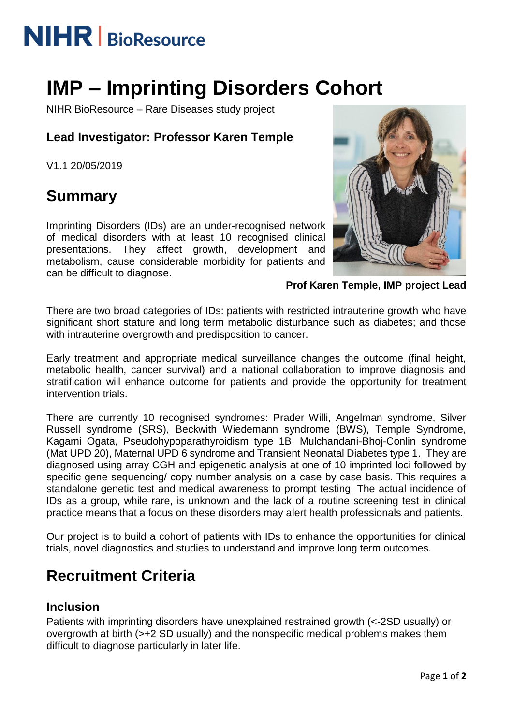# **NIHR** | BioResource

## **IMP – Imprinting Disorders Cohort**

NIHR BioResource – Rare Diseases study project

#### **Lead Investigator: Professor Karen Temple**

V1.1 20/05/2019

### **Summary**

Imprinting Disorders (IDs) are an under-recognised network of medical disorders with at least 10 recognised clinical presentations. They affect growth, development and metabolism, cause considerable morbidity for patients and can be difficult to diagnose.



**Prof Karen Temple, IMP project Lead**

There are two broad categories of IDs: patients with restricted intrauterine growth who have significant short stature and long term metabolic disturbance such as diabetes; and those with intrauterine overgrowth and predisposition to cancer.

Early treatment and appropriate medical surveillance changes the outcome (final height, metabolic health, cancer survival) and a national collaboration to improve diagnosis and stratification will enhance outcome for patients and provide the opportunity for treatment intervention trials.

There are currently 10 recognised syndromes: Prader Willi, Angelman syndrome, Silver Russell syndrome (SRS), Beckwith Wiedemann syndrome (BWS), Temple Syndrome, Kagami Ogata, Pseudohypoparathyroidism type 1B, Mulchandani-Bhoj-Conlin syndrome (Mat UPD 20), Maternal UPD 6 syndrome and Transient Neonatal Diabetes type 1. They are diagnosed using array CGH and epigenetic analysis at one of 10 imprinted loci followed by specific gene sequencing/ copy number analysis on a case by case basis. This requires a standalone genetic test and medical awareness to prompt testing. The actual incidence of IDs as a group, while rare, is unknown and the lack of a routine screening test in clinical practice means that a focus on these disorders may alert health professionals and patients.

Our project is to build a cohort of patients with IDs to enhance the opportunities for clinical trials, novel diagnostics and studies to understand and improve long term outcomes.

### **Recruitment Criteria**

#### **Inclusion**

Patients with imprinting disorders have unexplained restrained growth (<-2SD usually) or overgrowth at birth (>+2 SD usually) and the nonspecific medical problems makes them difficult to diagnose particularly in later life.